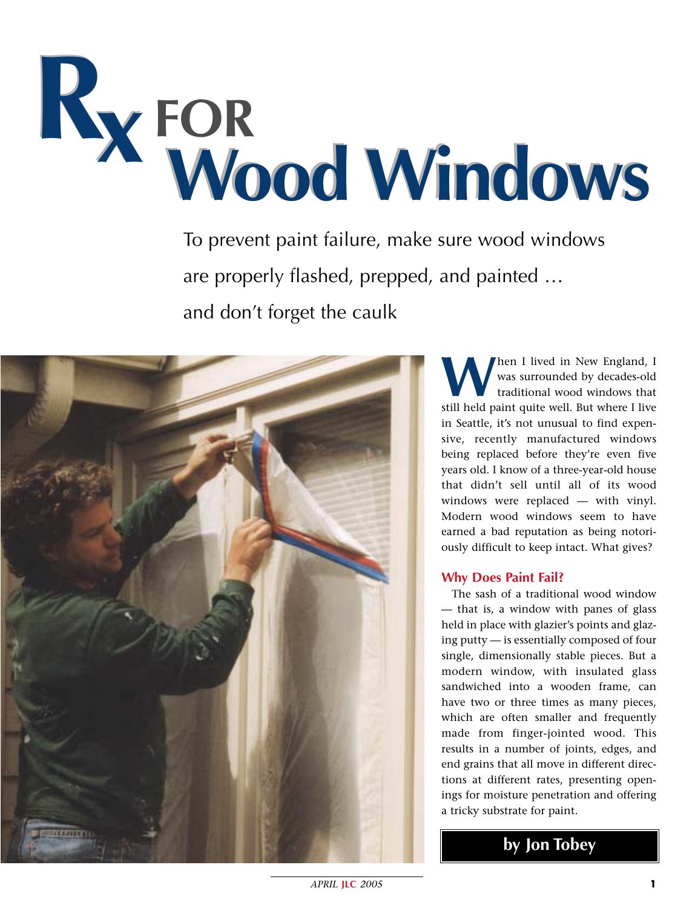

To prevent paint failure, make sure wood windows are properly flashed, prepped, and painted … and don't forget the caulk



**When I lived in New England, I** was surrounded by decades-old traditional wood windows that still held paint quite well. But where I live was surrounded by decades-old traditional wood windows that in Seattle, it's not unusual to find expensive, recently manufactured windows being replaced before they're even five years old. I know of a three-year-old house that didn't sell until all of its wood windows were replaced — with vinyl. Modern wood windows seem to have earned a bad reputation as being notoriously difficult to keep intact. What gives?

# **Why Does Paint Fail?**

The sash of a traditional wood window — that is, a window with panes of glass held in place with glazier's points and glazing putty — is essentially composed of four single, dimensionally stable pieces. But a modern window, with insulated glass sandwiched into a wooden frame, can have two or three times as many pieces, which are often smaller and frequently made from finger-jointed wood. This results in a number of joints, edges, and end grains that all move in different directions at different rates, presenting openings for moisture penetration and offering a tricky substrate for paint.

**by Jon Tobey**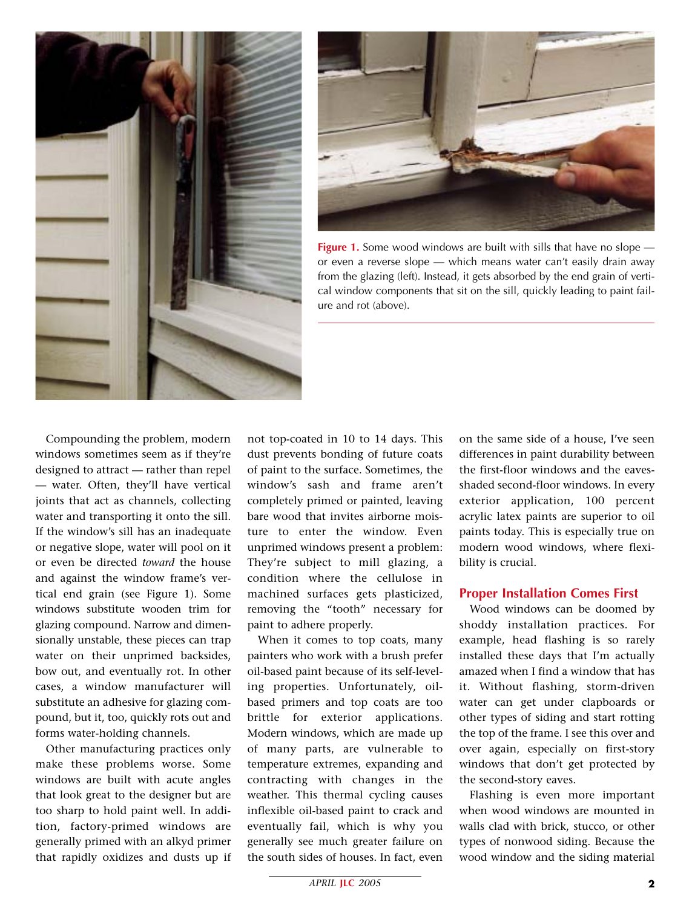



**Figure 1.** Some wood windows are built with sills that have no slope or even a reverse slope — which means water can't easily drain away from the glazing (left). Instead, it gets absorbed by the end grain of vertical window components that sit on the sill, quickly leading to paint failure and rot (above).

Compounding the problem, modern windows sometimes seem as if they're designed to attract — rather than repel — water. Often, they'll have vertical joints that act as channels, collecting water and transporting it onto the sill. If the window's sill has an inadequate or negative slope, water will pool on it or even be directed *toward* the house and against the window frame's vertical end grain (see Figure 1). Some windows substitute wooden trim for glazing compound. Narrow and dimensionally unstable, these pieces can trap water on their unprimed backsides, bow out, and eventually rot. In other cases, a window manufacturer will substitute an adhesive for glazing compound, but it, too, quickly rots out and forms water-holding channels.

Other manufacturing practices only make these problems worse. Some windows are built with acute angles that look great to the designer but are too sharp to hold paint well. In addition, factory-primed windows are generally primed with an alkyd primer that rapidly oxidizes and dusts up if not top-coated in 10 to 14 days. This dust prevents bonding of future coats of paint to the surface. Sometimes, the window's sash and frame aren't completely primed or painted, leaving bare wood that invites airborne moisture to enter the window. Even unprimed windows present a problem: They're subject to mill glazing, a condition where the cellulose in machined surfaces gets plasticized, removing the "tooth" necessary for paint to adhere properly.

When it comes to top coats, many painters who work with a brush prefer oil-based paint because of its self-leveling properties. Unfortunately, oilbased primers and top coats are too brittle for exterior applications. Modern windows, which are made up of many parts, are vulnerable to temperature extremes, expanding and contracting with changes in the weather. This thermal cycling causes inflexible oil-based paint to crack and eventually fail, which is why you generally see much greater failure on the south sides of houses. In fact, even on the same side of a house, I've seen differences in paint durability between the first-floor windows and the eavesshaded second-floor windows. In every exterior application, 100 percent acrylic latex paints are superior to oil paints today. This is especially true on modern wood windows, where flexibility is crucial.

### **Proper Installation Comes First**

Wood windows can be doomed by shoddy installation practices. For example, head flashing is so rarely installed these days that I'm actually amazed when I find a window that has it. Without flashing, storm-driven water can get under clapboards or other types of siding and start rotting the top of the frame. I see this over and over again, especially on first-story windows that don't get protected by the second-story eaves.

Flashing is even more important when wood windows are mounted in walls clad with brick, stucco, or other types of nonwood siding. Because the wood window and the siding material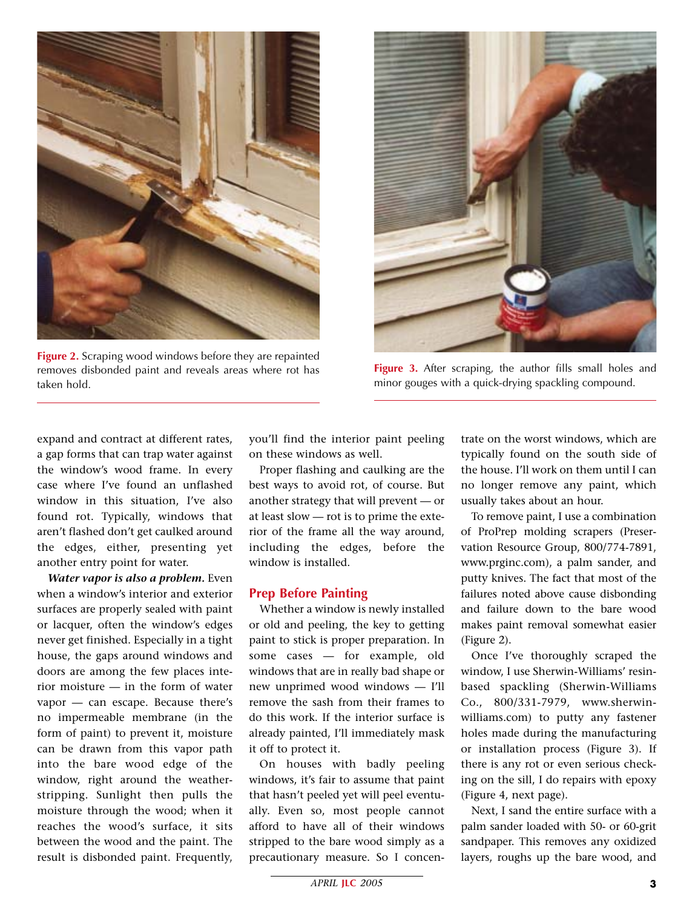

**Figure 2.** Scraping wood windows before they are repainted removes disbonded paint and reveals areas where rot has taken hold.



**Figure 3.** After scraping, the author fills small holes and minor gouges with a quick-drying spackling compound.

expand and contract at different rates, a gap forms that can trap water against the window's wood frame. In every case where I've found an unflashed window in this situation, I've also found rot. Typically, windows that aren't flashed don't get caulked around the edges, either, presenting yet another entry point for water.

*Water vapor is also a problem.* Even when a window's interior and exterior surfaces are properly sealed with paint or lacquer, often the window's edges never get finished. Especially in a tight house, the gaps around windows and doors are among the few places interior moisture — in the form of water vapor — can escape. Because there's no impermeable membrane (in the form of paint) to prevent it, moisture can be drawn from this vapor path into the bare wood edge of the window, right around the weatherstripping. Sunlight then pulls the moisture through the wood; when it reaches the wood's surface, it sits between the wood and the paint. The result is disbonded paint. Frequently, you'll find the interior paint peeling on these windows as well.

Proper flashing and caulking are the best ways to avoid rot, of course. But another strategy that will prevent — or at least slow — rot is to prime the exterior of the frame all the way around, including the edges, before the window is installed.

# **Prep Before Painting**

Whether a window is newly installed or old and peeling, the key to getting paint to stick is proper preparation. In some cases — for example, old windows that are in really bad shape or new unprimed wood windows — I'll remove the sash from their frames to do this work. If the interior surface is already painted, I'll immediately mask it off to protect it.

On houses with badly peeling windows, it's fair to assume that paint that hasn't peeled yet will peel eventually. Even so, most people cannot afford to have all of their windows stripped to the bare wood simply as a precautionary measure. So I concentrate on the worst windows, which are typically found on the south side of the house. I'll work on them until I can no longer remove any paint, which usually takes about an hour.

To remove paint, I use a combination of ProPrep molding scrapers (Preservation Resource Group, 800/774-7891, www.prginc.com), a palm sander, and putty knives. The fact that most of the failures noted above cause disbonding and failure down to the bare wood makes paint removal somewhat easier (Figure 2).

Once I've thoroughly scraped the window, I use Sherwin-Williams' resinbased spackling (Sherwin-Williams Co., 800/331-7979, www.sherwinwilliams.com) to putty any fastener holes made during the manufacturing or installation process (Figure 3). If there is any rot or even serious checking on the sill, I do repairs with epoxy (Figure 4, next page).

Next, I sand the entire surface with a palm sander loaded with 50- or 60-grit sandpaper. This removes any oxidized layers, roughs up the bare wood, and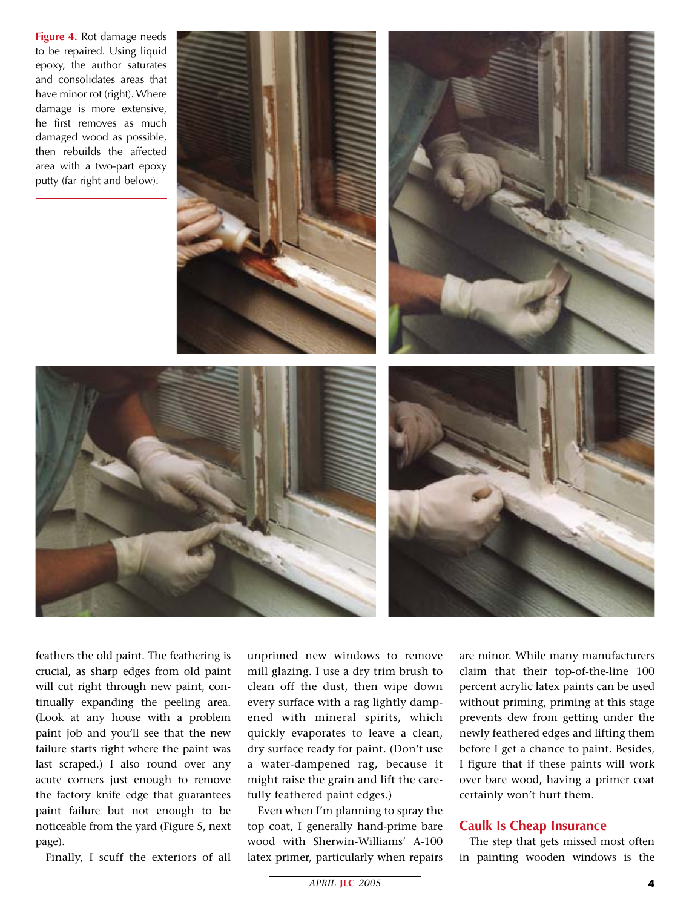**Figure 4.** Rot damage needs to be repaired. Using liquid epoxy, the author saturates and consolidates areas that have minor rot (right). Where damage is more extensive, he first removes as much damaged wood as possible, then rebuilds the affected area with a two-part epoxy putty (far right and below).



feathers the old paint. The feathering is crucial, as sharp edges from old paint will cut right through new paint, continually expanding the peeling area. (Look at any house with a problem paint job and you'll see that the new failure starts right where the paint was last scraped.) I also round over any acute corners just enough to remove the factory knife edge that guarantees paint failure but not enough to be noticeable from the yard (Figure 5, next page).

Finally, I scuff the exteriors of all

unprimed new windows to remove mill glazing. I use a dry trim brush to clean off the dust, then wipe down every surface with a rag lightly dampened with mineral spirits, which quickly evaporates to leave a clean, dry surface ready for paint. (Don't use a water-dampened rag, because it might raise the grain and lift the carefully feathered paint edges.)

Even when I'm planning to spray the top coat, I generally hand-prime bare wood with Sherwin-Williams' A-100 latex primer, particularly when repairs are minor. While many manufacturers claim that their top-of-the-line 100 percent acrylic latex paints can be used without priming, priming at this stage prevents dew from getting under the newly feathered edges and lifting them before I get a chance to paint. Besides, I figure that if these paints will work over bare wood, having a primer coat certainly won't hurt them.

# **Caulk Is Cheap Insurance**

The step that gets missed most often in painting wooden windows is the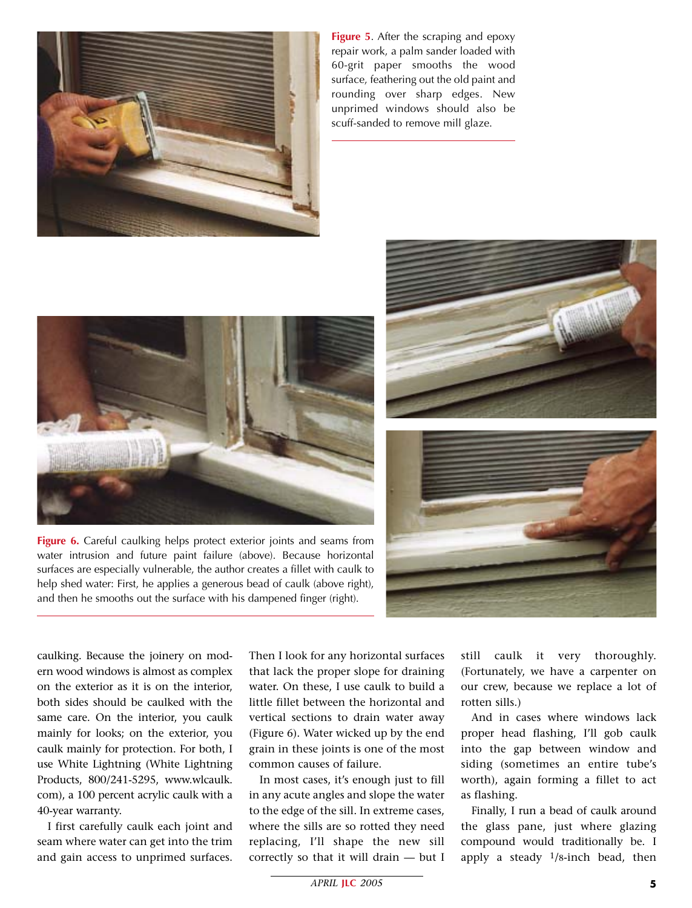

**Figure 5**. After the scraping and epoxy repair work, a palm sander loaded with 60-grit paper smooths the wood surface, feathering out the old paint and rounding over sharp edges. New unprimed windows should also be scuff-sanded to remove mill glaze.



Figure 6. Careful caulking helps protect exterior joints and seams from water intrusion and future paint failure (above). Because horizontal surfaces are especially vulnerable, the author creates a fillet with caulk to help shed water: First, he applies a generous bead of caulk (above right), and then he smooths out the surface with his dampened finger (right).





caulking. Because the joinery on modern wood windows is almost as complex on the exterior as it is on the interior, both sides should be caulked with the same care. On the interior, you caulk mainly for looks; on the exterior, you caulk mainly for protection. For both, I use White Lightning (White Lightning Products, 800/241-5295, www.wlcaulk. com), a 100 percent acrylic caulk with a 40-year warranty.

I first carefully caulk each joint and seam where water can get into the trim and gain access to unprimed surfaces. Then I look for any horizontal surfaces that lack the proper slope for draining water. On these, I use caulk to build a little fillet between the horizontal and vertical sections to drain water away (Figure 6). Water wicked up by the end grain in these joints is one of the most common causes of failure.

In most cases, it's enough just to fill in any acute angles and slope the water to the edge of the sill. In extreme cases, where the sills are so rotted they need replacing, I'll shape the new sill correctly so that it will drain — but I still caulk it very thoroughly. (Fortunately, we have a carpenter on our crew, because we replace a lot of rotten sills.)

And in cases where windows lack proper head flashing, I'll gob caulk into the gap between window and siding (sometimes an entire tube's worth), again forming a fillet to act as flashing.

Finally, I run a bead of caulk around the glass pane, just where glazing compound would traditionally be. I apply a steady  $1/8$ -inch bead, then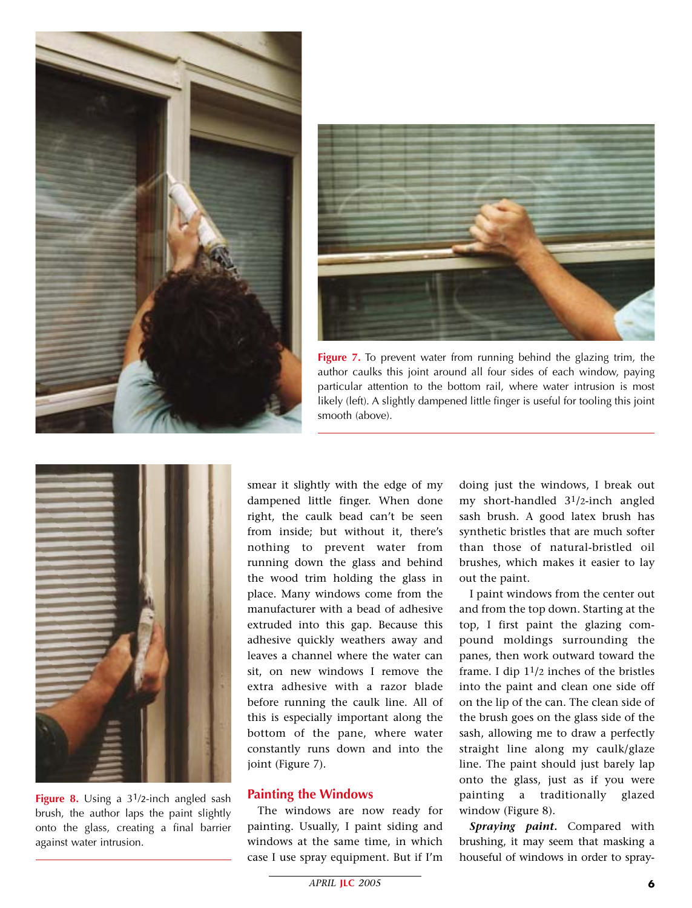



**Figure 7.** To prevent water from running behind the glazing trim, the author caulks this joint around all four sides of each window, paying particular attention to the bottom rail, where water intrusion is most likely (left). A slightly dampened little finger is useful for tooling this joint smooth (above).



**Figure 8.** Using a 3<sup>1</sup>/2-inch angled sash brush, the author laps the paint slightly onto the glass, creating a final barrier against water intrusion.

smear it slightly with the edge of my dampened little finger. When done right, the caulk bead can't be seen from inside; but without it, there's nothing to prevent water from running down the glass and behind the wood trim holding the glass in place. Many windows come from the manufacturer with a bead of adhesive extruded into this gap. Because this adhesive quickly weathers away and leaves a channel where the water can sit, on new windows I remove the extra adhesive with a razor blade before running the caulk line. All of this is especially important along the bottom of the pane, where water constantly runs down and into the joint (Figure 7).

### **Painting the Windows**

The windows are now ready for painting. Usually, I paint siding and windows at the same time, in which case I use spray equipment. But if I'm doing just the windows, I break out my short-handled 31/2-inch angled sash brush. A good latex brush has synthetic bristles that are much softer than those of natural-bristled oil brushes, which makes it easier to lay out the paint.

I paint windows from the center out and from the top down. Starting at the top, I first paint the glazing compound moldings surrounding the panes, then work outward toward the frame. I dip  $1\frac{1}{2}$  inches of the bristles into the paint and clean one side off on the lip of the can. The clean side of the brush goes on the glass side of the sash, allowing me to draw a perfectly straight line along my caulk/glaze line. The paint should just barely lap onto the glass, just as if you were painting a traditionally glazed window (Figure 8).

*Spraying paint.* Compared with brushing, it may seem that masking a houseful of windows in order to spray-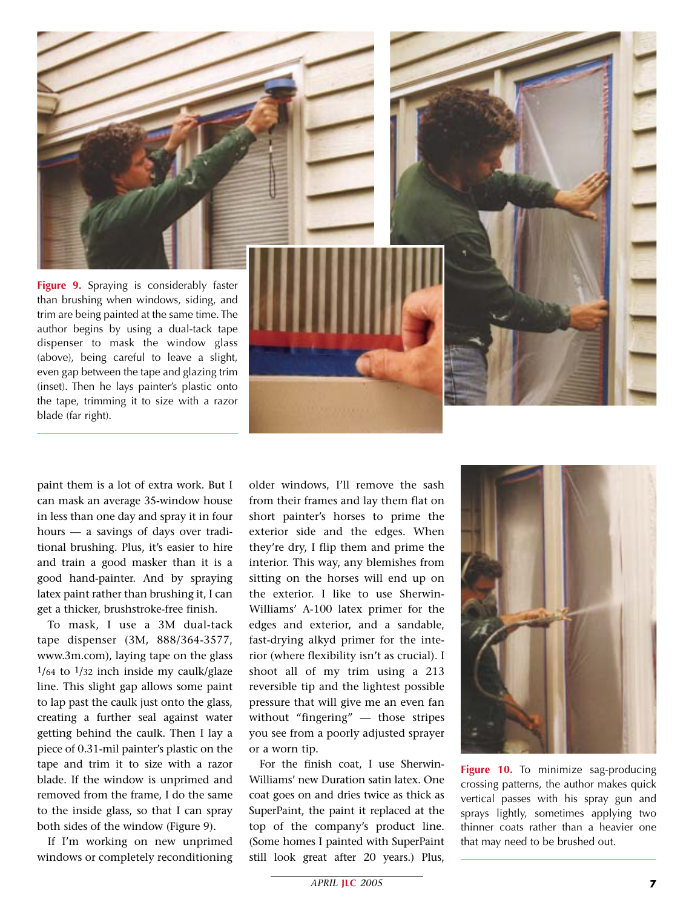

paint them is a lot of extra work. But I can mask an average 35-window house in less than one day and spray it in four hours — a savings of days over traditional brushing. Plus, it's easier to hire and train a good masker than it is a good hand-painter. And by spraying latex paint rather than brushing it, I can get a thicker, brushstroke-free finish.

To mask, I use a 3M dual-tack tape dispenser (3M, 888/364-3577, www.3m.com), laying tape on the glass  $1/64$  to  $1/32$  inch inside my caulk/glaze line. This slight gap allows some paint to lap past the caulk just onto the glass, creating a further seal against water getting behind the caulk. Then I lay a piece of 0.31-mil painter's plastic on the tape and trim it to size with a razor blade. If the window is unprimed and removed from the frame, I do the same to the inside glass, so that I can spray both sides of the window (Figure 9).

If I'm working on new unprimed windows or completely reconditioning older windows, I'll remove the sash from their frames and lay them flat on short painter's horses to prime the exterior side and the edges. When they're dry, I flip them and prime the interior. This way, any blemishes from sitting on the horses will end up on the exterior. I like to use Sherwin-Williams' A-100 latex primer for the edges and exterior, and a sandable, fast-drying alkyd primer for the interior (where flexibility isn't as crucial). I shoot all of my trim using a 213 reversible tip and the lightest possible pressure that will give me an even fan without "fingering" — those stripes you see from a poorly adjusted sprayer or a worn tip.

For the finish coat, I use Sherwin-Williams' new Duration satin latex. One coat goes on and dries twice as thick as SuperPaint, the paint it replaced at the top of the company's product line. (Some homes I painted with SuperPaint still look great after 20 years.) Plus,



**Figure 10.** To minimize sag-producing crossing patterns, the author makes quick vertical passes with his spray gun and sprays lightly, sometimes applying two thinner coats rather than a heavier one that may need to be brushed out.